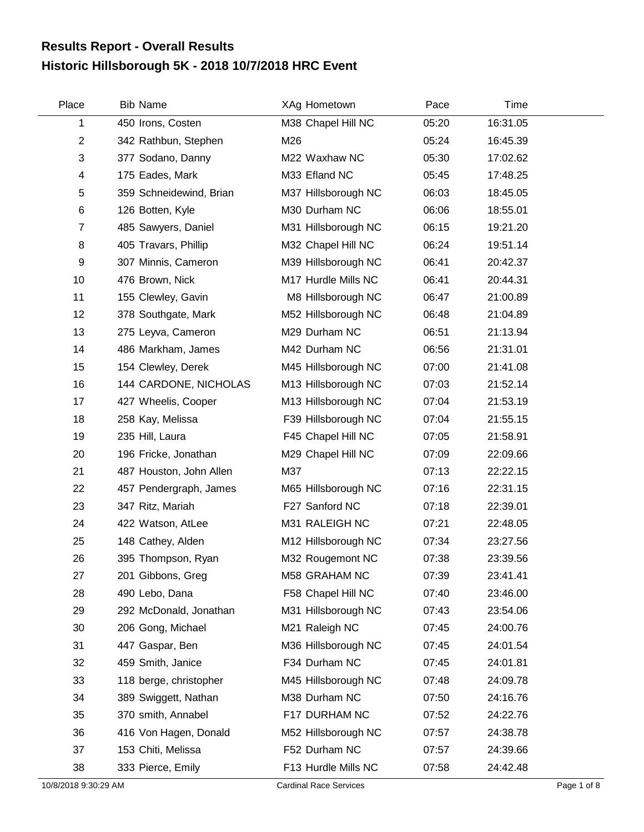## **Historic Hillsborough 5K - 2018 10/7/2018 HRC Event Results Report - Overall Results**

| Place          | <b>Bib Name</b>         | XAg Hometown        | Pace  | Time     |  |
|----------------|-------------------------|---------------------|-------|----------|--|
| 1              | 450 Irons, Costen       | M38 Chapel Hill NC  | 05:20 | 16:31.05 |  |
| $\overline{c}$ | 342 Rathbun, Stephen    | M26                 | 05:24 | 16:45.39 |  |
| 3              | 377 Sodano, Danny       | M22 Waxhaw NC       | 05:30 | 17:02.62 |  |
| 4              | 175 Eades, Mark         | M33 Efland NC       | 05:45 | 17:48.25 |  |
| 5              | 359 Schneidewind, Brian | M37 Hillsborough NC | 06:03 | 18:45.05 |  |
| 6              | 126 Botten, Kyle        | M30 Durham NC       | 06:06 | 18:55.01 |  |
| $\overline{7}$ | 485 Sawyers, Daniel     | M31 Hillsborough NC | 06:15 | 19:21.20 |  |
| 8              | 405 Travars, Phillip    | M32 Chapel Hill NC  | 06:24 | 19:51.14 |  |
| 9              | 307 Minnis, Cameron     | M39 Hillsborough NC | 06:41 | 20:42.37 |  |
| 10             | 476 Brown, Nick         | M17 Hurdle Mills NC | 06:41 | 20:44.31 |  |
| 11             | 155 Clewley, Gavin      | M8 Hillsborough NC  | 06:47 | 21:00.89 |  |
| 12             | 378 Southgate, Mark     | M52 Hillsborough NC | 06:48 | 21:04.89 |  |
| 13             | 275 Leyva, Cameron      | M29 Durham NC       | 06:51 | 21:13.94 |  |
| 14             | 486 Markham, James      | M42 Durham NC       | 06:56 | 21:31.01 |  |
| 15             | 154 Clewley, Derek      | M45 Hillsborough NC | 07:00 | 21:41.08 |  |
| 16             | 144 CARDONE, NICHOLAS   | M13 Hillsborough NC | 07:03 | 21:52.14 |  |
| 17             | 427 Wheelis, Cooper     | M13 Hillsborough NC | 07:04 | 21:53.19 |  |
| 18             | 258 Kay, Melissa        | F39 Hillsborough NC | 07:04 | 21:55.15 |  |
| 19             | 235 Hill, Laura         | F45 Chapel Hill NC  | 07:05 | 21:58.91 |  |
| 20             | 196 Fricke, Jonathan    | M29 Chapel Hill NC  | 07:09 | 22:09.66 |  |
| 21             | 487 Houston, John Allen | M37                 | 07:13 | 22:22.15 |  |
| 22             | 457 Pendergraph, James  | M65 Hillsborough NC | 07:16 | 22:31.15 |  |
| 23             | 347 Ritz, Mariah        | F27 Sanford NC      | 07:18 | 22:39.01 |  |
| 24             | 422 Watson, AtLee       | M31 RALEIGH NC      | 07:21 | 22:48.05 |  |
| 25             | 148 Cathey, Alden       | M12 Hillsborough NC | 07:34 | 23:27.56 |  |
| 26             | 395 Thompson, Ryan      | M32 Rougemont NC    | 07:38 | 23:39.56 |  |
| 27             | 201 Gibbons, Greg       | M58 GRAHAM NC       | 07:39 | 23:41.41 |  |
| 28             | 490 Lebo, Dana          | F58 Chapel Hill NC  | 07:40 | 23:46.00 |  |
| 29             | 292 McDonald, Jonathan  | M31 Hillsborough NC | 07:43 | 23:54.06 |  |
| 30             | 206 Gong, Michael       | M21 Raleigh NC      | 07:45 | 24:00.76 |  |
| 31             | 447 Gaspar, Ben         | M36 Hillsborough NC | 07:45 | 24:01.54 |  |
| 32             | 459 Smith, Janice       | F34 Durham NC       | 07:45 | 24:01.81 |  |
| 33             | 118 berge, christopher  | M45 Hillsborough NC | 07:48 | 24:09.78 |  |
| 34             | 389 Swiggett, Nathan    | M38 Durham NC       | 07:50 | 24:16.76 |  |
| 35             | 370 smith, Annabel      | F17 DURHAM NC       | 07:52 | 24:22.76 |  |
| 36             | 416 Von Hagen, Donald   | M52 Hillsborough NC | 07:57 | 24:38.78 |  |
| 37             | 153 Chiti, Melissa      | F52 Durham NC       | 07:57 | 24:39.66 |  |
| 38             | 333 Pierce, Emily       | F13 Hurdle Mills NC | 07:58 | 24:42.48 |  |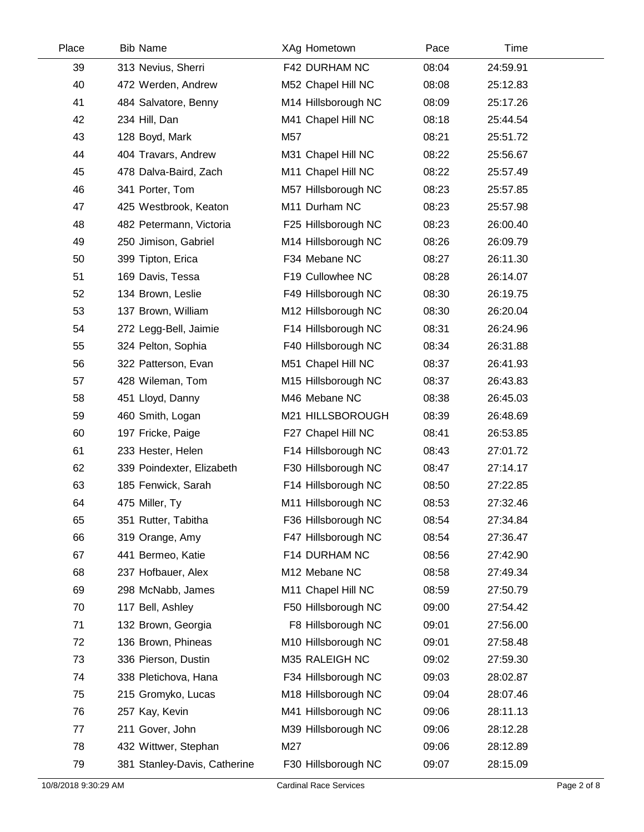| Place | <b>Bib Name</b>              | XAg Hometown        | Pace  | Time     |  |
|-------|------------------------------|---------------------|-------|----------|--|
| 39    | 313 Nevius, Sherri           | F42 DURHAM NC       | 08:04 | 24:59.91 |  |
| 40    | 472 Werden, Andrew           | M52 Chapel Hill NC  | 08:08 | 25:12.83 |  |
| 41    | 484 Salvatore, Benny         | M14 Hillsborough NC | 08:09 | 25:17.26 |  |
| 42    | 234 Hill, Dan                | M41 Chapel Hill NC  | 08:18 | 25:44.54 |  |
| 43    | 128 Boyd, Mark               | M57                 | 08:21 | 25:51.72 |  |
| 44    | 404 Travars, Andrew          | M31 Chapel Hill NC  | 08:22 | 25:56.67 |  |
| 45    | 478 Dalva-Baird, Zach        | M11 Chapel Hill NC  | 08:22 | 25:57.49 |  |
| 46    | 341 Porter, Tom              | M57 Hillsborough NC | 08:23 | 25:57.85 |  |
| 47    | 425 Westbrook, Keaton        | M11 Durham NC       | 08:23 | 25:57.98 |  |
| 48    | 482 Petermann, Victoria      | F25 Hillsborough NC | 08:23 | 26:00.40 |  |
| 49    | 250 Jimison, Gabriel         | M14 Hillsborough NC | 08:26 | 26:09.79 |  |
| 50    | 399 Tipton, Erica            | F34 Mebane NC       | 08:27 | 26:11.30 |  |
| 51    | 169 Davis, Tessa             | F19 Cullowhee NC    | 08:28 | 26:14.07 |  |
| 52    | 134 Brown, Leslie            | F49 Hillsborough NC | 08:30 | 26:19.75 |  |
| 53    | 137 Brown, William           | M12 Hillsborough NC | 08:30 | 26:20.04 |  |
| 54    | 272 Legg-Bell, Jaimie        | F14 Hillsborough NC | 08:31 | 26:24.96 |  |
| 55    | 324 Pelton, Sophia           | F40 Hillsborough NC | 08:34 | 26:31.88 |  |
| 56    | 322 Patterson, Evan          | M51 Chapel Hill NC  | 08:37 | 26:41.93 |  |
| 57    | 428 Wileman, Tom             | M15 Hillsborough NC | 08:37 | 26:43.83 |  |
| 58    | 451 Lloyd, Danny             | M46 Mebane NC       | 08:38 | 26:45.03 |  |
| 59    | 460 Smith, Logan             | M21 HILLSBOROUGH    | 08:39 | 26:48.69 |  |
| 60    | 197 Fricke, Paige            | F27 Chapel Hill NC  | 08:41 | 26:53.85 |  |
| 61    | 233 Hester, Helen            | F14 Hillsborough NC | 08:43 | 27:01.72 |  |
| 62    | 339 Poindexter, Elizabeth    | F30 Hillsborough NC | 08:47 | 27:14.17 |  |
| 63    | 185 Fenwick, Sarah           | F14 Hillsborough NC | 08:50 | 27:22.85 |  |
| 64    | 475 Miller, Ty               | M11 Hillsborough NC | 08:53 | 27:32.46 |  |
| 65    | 351 Rutter, Tabitha          | F36 Hillsborough NC | 08:54 | 27:34.84 |  |
| 66    | 319 Orange, Amy              | F47 Hillsborough NC | 08:54 | 27:36.47 |  |
| 67    | 441 Bermeo, Katie            | F14 DURHAM NC       | 08:56 | 27:42.90 |  |
| 68    | 237 Hofbauer, Alex           | M12 Mebane NC       | 08:58 | 27:49.34 |  |
| 69    | 298 McNabb, James            | M11 Chapel Hill NC  | 08:59 | 27:50.79 |  |
| 70    | 117 Bell, Ashley             | F50 Hillsborough NC | 09:00 | 27:54.42 |  |
| 71    | 132 Brown, Georgia           | F8 Hillsborough NC  | 09:01 | 27:56.00 |  |
| 72    | 136 Brown, Phineas           | M10 Hillsborough NC | 09:01 | 27:58.48 |  |
| 73    | 336 Pierson, Dustin          | M35 RALEIGH NC      | 09:02 | 27:59.30 |  |
| 74    | 338 Pletichova, Hana         | F34 Hillsborough NC | 09:03 | 28:02.87 |  |
| 75    | 215 Gromyko, Lucas           | M18 Hillsborough NC | 09:04 | 28:07.46 |  |
| 76    | 257 Kay, Kevin               | M41 Hillsborough NC | 09:06 | 28:11.13 |  |
| 77    | 211 Gover, John              | M39 Hillsborough NC | 09:06 | 28:12.28 |  |
| 78    | 432 Wittwer, Stephan         | M27                 | 09:06 | 28:12.89 |  |
| 79    | 381 Stanley-Davis, Catherine | F30 Hillsborough NC | 09:07 | 28:15.09 |  |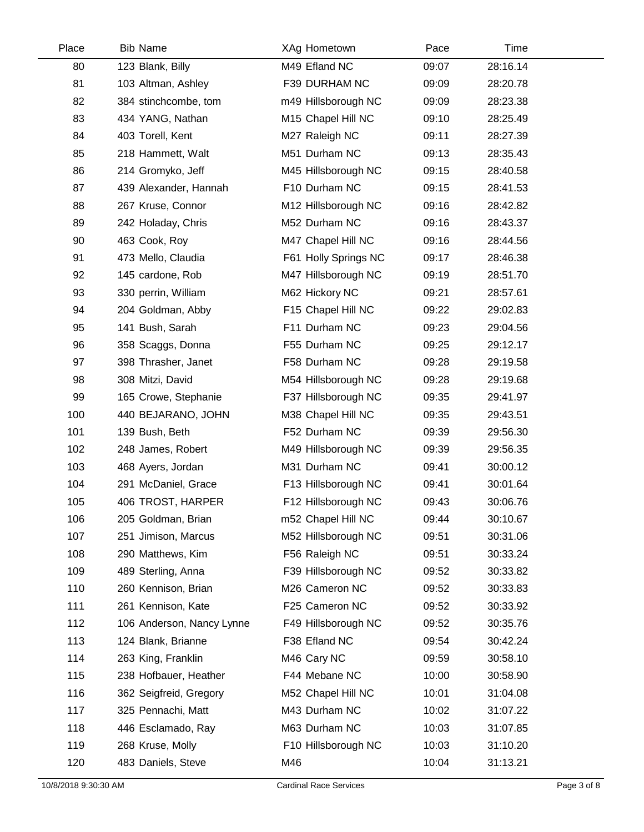| Place | <b>Bib Name</b>           | XAg Hometown         | Pace  | Time     |  |
|-------|---------------------------|----------------------|-------|----------|--|
| 80    | 123 Blank, Billy          | M49 Efland NC        | 09:07 | 28:16.14 |  |
| 81    | 103 Altman, Ashley        | F39 DURHAM NC        | 09:09 | 28:20.78 |  |
| 82    | 384 stinchcombe, tom      | m49 Hillsborough NC  | 09:09 | 28:23.38 |  |
| 83    | 434 YANG, Nathan          | M15 Chapel Hill NC   | 09:10 | 28:25.49 |  |
| 84    | 403 Torell, Kent          | M27 Raleigh NC       | 09:11 | 28:27.39 |  |
| 85    | 218 Hammett, Walt         | M51 Durham NC        | 09:13 | 28:35.43 |  |
| 86    | 214 Gromyko, Jeff         | M45 Hillsborough NC  | 09:15 | 28:40.58 |  |
| 87    | 439 Alexander, Hannah     | F10 Durham NC        | 09:15 | 28:41.53 |  |
| 88    | 267 Kruse, Connor         | M12 Hillsborough NC  | 09:16 | 28:42.82 |  |
| 89    | 242 Holaday, Chris        | M52 Durham NC        | 09:16 | 28:43.37 |  |
| 90    | 463 Cook, Roy             | M47 Chapel Hill NC   | 09:16 | 28:44.56 |  |
| 91    | 473 Mello, Claudia        | F61 Holly Springs NC | 09:17 | 28:46.38 |  |
| 92    | 145 cardone, Rob          | M47 Hillsborough NC  | 09:19 | 28:51.70 |  |
| 93    | 330 perrin, William       | M62 Hickory NC       | 09:21 | 28:57.61 |  |
| 94    | 204 Goldman, Abby         | F15 Chapel Hill NC   | 09:22 | 29:02.83 |  |
| 95    | 141 Bush, Sarah           | F11 Durham NC        | 09:23 | 29:04.56 |  |
| 96    | 358 Scaggs, Donna         | F55 Durham NC        | 09:25 | 29:12.17 |  |
| 97    | 398 Thrasher, Janet       | F58 Durham NC        | 09:28 | 29:19.58 |  |
| 98    | 308 Mitzi, David          | M54 Hillsborough NC  | 09:28 | 29:19.68 |  |
| 99    | 165 Crowe, Stephanie      | F37 Hillsborough NC  | 09:35 | 29:41.97 |  |
| 100   | 440 BEJARANO, JOHN        | M38 Chapel Hill NC   | 09:35 | 29:43.51 |  |
| 101   | 139 Bush, Beth            | F52 Durham NC        | 09:39 | 29:56.30 |  |
| 102   | 248 James, Robert         | M49 Hillsborough NC  | 09:39 | 29:56.35 |  |
| 103   | 468 Ayers, Jordan         | M31 Durham NC        | 09:41 | 30:00.12 |  |
| 104   | 291 McDaniel, Grace       | F13 Hillsborough NC  | 09:41 | 30:01.64 |  |
| 105   | 406 TROST, HARPER         | F12 Hillsborough NC  | 09:43 | 30:06.76 |  |
| 106   | 205 Goldman, Brian        | m52 Chapel Hill NC   | 09:44 | 30:10.67 |  |
| 107   | 251 Jimison, Marcus       | M52 Hillsborough NC  | 09:51 | 30:31.06 |  |
| 108   | 290 Matthews, Kim         | F56 Raleigh NC       | 09:51 | 30:33.24 |  |
| 109   | 489 Sterling, Anna        | F39 Hillsborough NC  | 09:52 | 30:33.82 |  |
| 110   | 260 Kennison, Brian       | M26 Cameron NC       | 09:52 | 30:33.83 |  |
| 111   | 261 Kennison, Kate        | F25 Cameron NC       | 09:52 | 30:33.92 |  |
| 112   | 106 Anderson, Nancy Lynne | F49 Hillsborough NC  | 09:52 | 30:35.76 |  |
| 113   | 124 Blank, Brianne        | F38 Efland NC        | 09:54 | 30:42.24 |  |
| 114   | 263 King, Franklin        | M46 Cary NC          | 09:59 | 30:58.10 |  |
| 115   | 238 Hofbauer, Heather     | F44 Mebane NC        | 10:00 | 30:58.90 |  |
| 116   | 362 Seigfreid, Gregory    | M52 Chapel Hill NC   | 10:01 | 31:04.08 |  |
| 117   | 325 Pennachi, Matt        | M43 Durham NC        | 10:02 | 31:07.22 |  |
| 118   | 446 Esclamado, Ray        | M63 Durham NC        | 10:03 | 31:07.85 |  |
| 119   | 268 Kruse, Molly          | F10 Hillsborough NC  | 10:03 | 31:10.20 |  |
| 120   | 483 Daniels, Steve        | M46                  | 10:04 | 31:13.21 |  |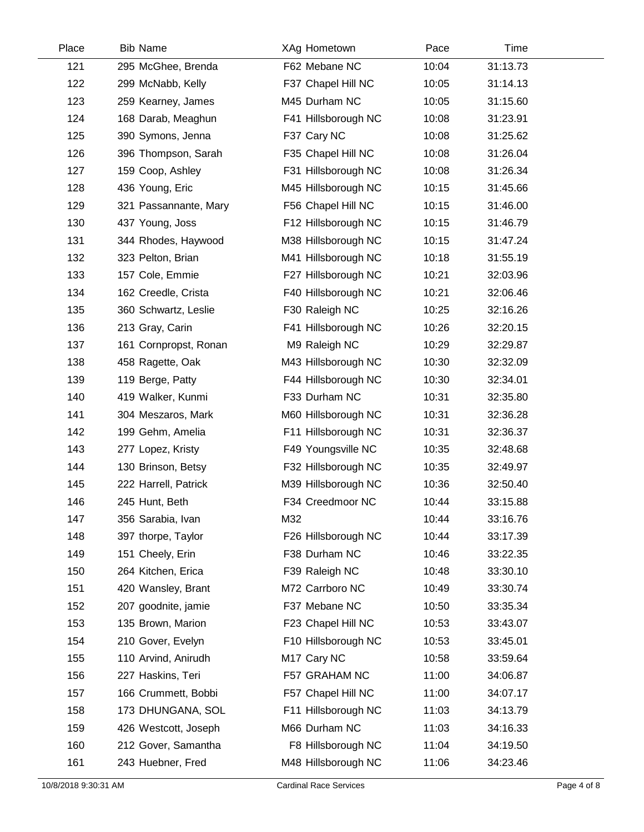| Place | <b>Bib Name</b>       | XAg Hometown        | Pace  | Time     |  |
|-------|-----------------------|---------------------|-------|----------|--|
| 121   | 295 McGhee, Brenda    | F62 Mebane NC       | 10:04 | 31:13.73 |  |
| 122   | 299 McNabb, Kelly     | F37 Chapel Hill NC  | 10:05 | 31:14.13 |  |
| 123   | 259 Kearney, James    | M45 Durham NC       | 10:05 | 31:15.60 |  |
| 124   | 168 Darab, Meaghun    | F41 Hillsborough NC | 10:08 | 31:23.91 |  |
| 125   | 390 Symons, Jenna     | F37 Cary NC         | 10:08 | 31:25.62 |  |
| 126   | 396 Thompson, Sarah   | F35 Chapel Hill NC  | 10:08 | 31:26.04 |  |
| 127   | 159 Coop, Ashley      | F31 Hillsborough NC | 10:08 | 31:26.34 |  |
| 128   | 436 Young, Eric       | M45 Hillsborough NC | 10:15 | 31:45.66 |  |
| 129   | 321 Passannante, Mary | F56 Chapel Hill NC  | 10:15 | 31:46.00 |  |
| 130   | 437 Young, Joss       | F12 Hillsborough NC | 10:15 | 31:46.79 |  |
| 131   | 344 Rhodes, Haywood   | M38 Hillsborough NC | 10:15 | 31:47.24 |  |
| 132   | 323 Pelton, Brian     | M41 Hillsborough NC | 10:18 | 31:55.19 |  |
| 133   | 157 Cole, Emmie       | F27 Hillsborough NC | 10:21 | 32:03.96 |  |
| 134   | 162 Creedle, Crista   | F40 Hillsborough NC | 10:21 | 32:06.46 |  |
| 135   | 360 Schwartz, Leslie  | F30 Raleigh NC      | 10:25 | 32:16.26 |  |
| 136   | 213 Gray, Carin       | F41 Hillsborough NC | 10:26 | 32:20.15 |  |
| 137   | 161 Cornpropst, Ronan | M9 Raleigh NC       | 10:29 | 32:29.87 |  |
| 138   | 458 Ragette, Oak      | M43 Hillsborough NC | 10:30 | 32:32.09 |  |
| 139   | 119 Berge, Patty      | F44 Hillsborough NC | 10:30 | 32:34.01 |  |
| 140   | 419 Walker, Kunmi     | F33 Durham NC       | 10:31 | 32:35.80 |  |
| 141   | 304 Meszaros, Mark    | M60 Hillsborough NC | 10:31 | 32:36.28 |  |
| 142   | 199 Gehm, Amelia      | F11 Hillsborough NC | 10:31 | 32:36.37 |  |
| 143   | 277 Lopez, Kristy     | F49 Youngsville NC  | 10:35 | 32:48.68 |  |
| 144   | 130 Brinson, Betsy    | F32 Hillsborough NC | 10:35 | 32:49.97 |  |
| 145   | 222 Harrell, Patrick  | M39 Hillsborough NC | 10:36 | 32:50.40 |  |
| 146   | 245 Hunt, Beth        | F34 Creedmoor NC    | 10:44 | 33:15.88 |  |
| 147   | 356 Sarabia, Ivan     | M32                 | 10:44 | 33:16.76 |  |
| 148   | 397 thorpe, Taylor    | F26 Hillsborough NC | 10:44 | 33:17.39 |  |
| 149   | 151 Cheely, Erin      | F38 Durham NC       | 10:46 | 33:22.35 |  |
| 150   | 264 Kitchen, Erica    | F39 Raleigh NC      | 10:48 | 33:30.10 |  |
| 151   | 420 Wansley, Brant    | M72 Carrboro NC     | 10:49 | 33:30.74 |  |
| 152   | 207 goodnite, jamie   | F37 Mebane NC       | 10:50 | 33:35.34 |  |
| 153   | 135 Brown, Marion     | F23 Chapel Hill NC  | 10:53 | 33:43.07 |  |
| 154   | 210 Gover, Evelyn     | F10 Hillsborough NC | 10:53 | 33:45.01 |  |
| 155   | 110 Arvind, Anirudh   | M17 Cary NC         | 10:58 | 33:59.64 |  |
| 156   | 227 Haskins, Teri     | F57 GRAHAM NC       | 11:00 | 34:06.87 |  |
| 157   | 166 Crummett, Bobbi   | F57 Chapel Hill NC  | 11:00 | 34:07.17 |  |
| 158   | 173 DHUNGANA, SOL     | F11 Hillsborough NC | 11:03 | 34:13.79 |  |
| 159   | 426 Westcott, Joseph  | M66 Durham NC       | 11:03 | 34:16.33 |  |
| 160   | 212 Gover, Samantha   | F8 Hillsborough NC  | 11:04 | 34:19.50 |  |
| 161   | 243 Huebner, Fred     | M48 Hillsborough NC | 11:06 | 34:23.46 |  |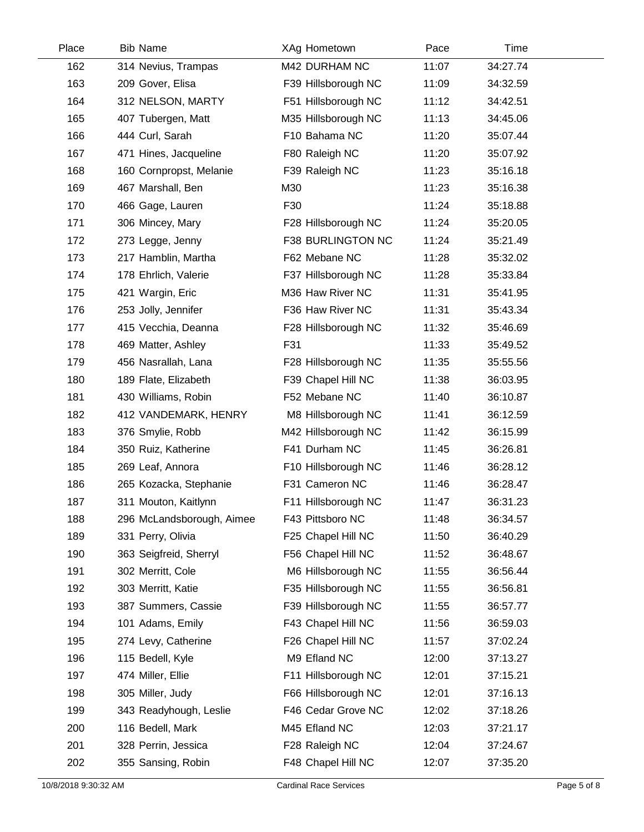| Place | <b>Bib Name</b>           | XAg Hometown        | Pace  | Time     |  |
|-------|---------------------------|---------------------|-------|----------|--|
| 162   | 314 Nevius, Trampas       | M42 DURHAM NC       | 11:07 | 34:27.74 |  |
| 163   | 209 Gover, Elisa          | F39 Hillsborough NC | 11:09 | 34:32.59 |  |
| 164   | 312 NELSON, MARTY         | F51 Hillsborough NC | 11:12 | 34:42.51 |  |
| 165   | 407 Tubergen, Matt        | M35 Hillsborough NC | 11:13 | 34:45.06 |  |
| 166   | 444 Curl, Sarah           | F10 Bahama NC       | 11:20 | 35:07.44 |  |
| 167   | 471 Hines, Jacqueline     | F80 Raleigh NC      | 11:20 | 35:07.92 |  |
| 168   | 160 Cornpropst, Melanie   | F39 Raleigh NC      | 11:23 | 35:16.18 |  |
| 169   | 467 Marshall, Ben         | M30                 | 11:23 | 35:16.38 |  |
| 170   | 466 Gage, Lauren          | F30                 | 11:24 | 35:18.88 |  |
| 171   | 306 Mincey, Mary          | F28 Hillsborough NC | 11:24 | 35:20.05 |  |
| 172   | 273 Legge, Jenny          | F38 BURLINGTON NC   | 11:24 | 35:21.49 |  |
| 173   | 217 Hamblin, Martha       | F62 Mebane NC       | 11:28 | 35:32.02 |  |
| 174   | 178 Ehrlich, Valerie      | F37 Hillsborough NC | 11:28 | 35:33.84 |  |
| 175   | 421 Wargin, Eric          | M36 Haw River NC    | 11:31 | 35:41.95 |  |
| 176   | 253 Jolly, Jennifer       | F36 Haw River NC    | 11:31 | 35:43.34 |  |
| 177   | 415 Vecchia, Deanna       | F28 Hillsborough NC | 11:32 | 35:46.69 |  |
| 178   | 469 Matter, Ashley        | F31                 | 11:33 | 35:49.52 |  |
| 179   | 456 Nasrallah, Lana       | F28 Hillsborough NC | 11:35 | 35:55.56 |  |
| 180   | 189 Flate, Elizabeth      | F39 Chapel Hill NC  | 11:38 | 36:03.95 |  |
| 181   | 430 Williams, Robin       | F52 Mebane NC       | 11:40 | 36:10.87 |  |
| 182   | 412 VANDEMARK, HENRY      | M8 Hillsborough NC  | 11:41 | 36:12.59 |  |
| 183   | 376 Smylie, Robb          | M42 Hillsborough NC | 11:42 | 36:15.99 |  |
| 184   | 350 Ruiz, Katherine       | F41 Durham NC       | 11:45 | 36:26.81 |  |
| 185   | 269 Leaf, Annora          | F10 Hillsborough NC | 11:46 | 36:28.12 |  |
| 186   | 265 Kozacka, Stephanie    | F31 Cameron NC      | 11:46 | 36:28.47 |  |
| 187   | 311 Mouton, Kaitlynn      | F11 Hillsborough NC | 11:47 | 36:31.23 |  |
| 188   | 296 McLandsborough, Aimee | F43 Pittsboro NC    | 11:48 | 36:34.57 |  |
| 189   | 331 Perry, Olivia         | F25 Chapel Hill NC  | 11:50 | 36:40.29 |  |
| 190   | 363 Seigfreid, Sherryl    | F56 Chapel Hill NC  | 11:52 | 36:48.67 |  |
| 191   | 302 Merritt, Cole         | M6 Hillsborough NC  | 11:55 | 36:56.44 |  |
| 192   | 303 Merritt, Katie        | F35 Hillsborough NC | 11:55 | 36:56.81 |  |
| 193   | 387 Summers, Cassie       | F39 Hillsborough NC | 11:55 | 36:57.77 |  |
| 194   | 101 Adams, Emily          | F43 Chapel Hill NC  | 11:56 | 36:59.03 |  |
| 195   | 274 Levy, Catherine       | F26 Chapel Hill NC  | 11:57 | 37:02.24 |  |
| 196   | 115 Bedell, Kyle          | M9 Efland NC        | 12:00 | 37:13.27 |  |
| 197   | 474 Miller, Ellie         | F11 Hillsborough NC | 12:01 | 37:15.21 |  |
| 198   | 305 Miller, Judy          | F66 Hillsborough NC | 12:01 | 37:16.13 |  |
| 199   | 343 Readyhough, Leslie    | F46 Cedar Grove NC  | 12:02 | 37:18.26 |  |
| 200   | 116 Bedell, Mark          | M45 Efland NC       | 12:03 | 37:21.17 |  |
| 201   | 328 Perrin, Jessica       | F28 Raleigh NC      | 12:04 | 37:24.67 |  |
| 202   | 355 Sansing, Robin        | F48 Chapel Hill NC  | 12:07 | 37:35.20 |  |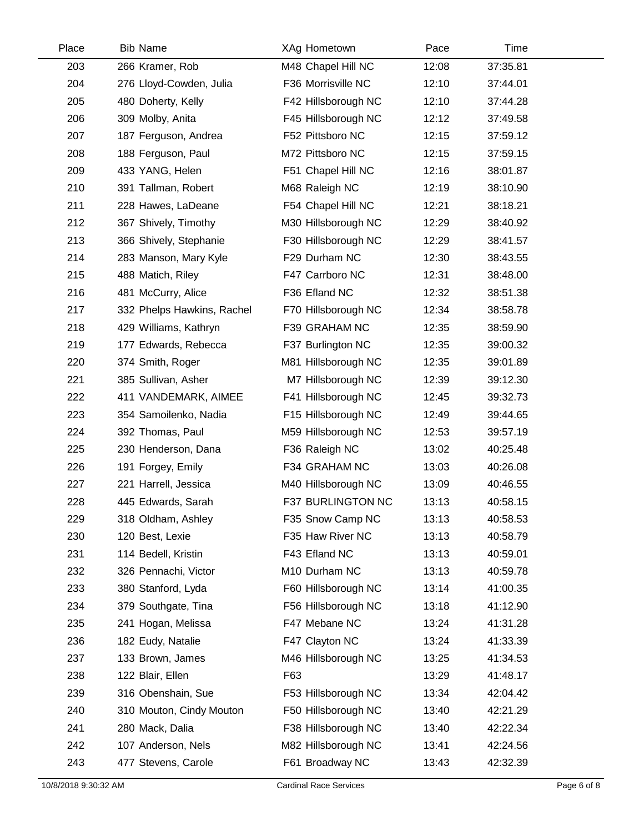| Place | <b>Bib Name</b>            | XAg Hometown             | Pace  | Time     |  |
|-------|----------------------------|--------------------------|-------|----------|--|
| 203   | 266 Kramer, Rob            | M48 Chapel Hill NC       | 12:08 | 37:35.81 |  |
| 204   | 276 Lloyd-Cowden, Julia    | F36 Morrisville NC       | 12:10 | 37:44.01 |  |
| 205   | 480 Doherty, Kelly         | F42 Hillsborough NC      | 12:10 | 37:44.28 |  |
| 206   | 309 Molby, Anita           | F45 Hillsborough NC      | 12:12 | 37:49.58 |  |
| 207   | 187 Ferguson, Andrea       | F52 Pittsboro NC         | 12:15 | 37:59.12 |  |
| 208   | 188 Ferguson, Paul         | M72 Pittsboro NC         | 12:15 | 37:59.15 |  |
| 209   | 433 YANG, Helen            | F51 Chapel Hill NC       | 12:16 | 38:01.87 |  |
| 210   | 391 Tallman, Robert        | M68 Raleigh NC           | 12:19 | 38:10.90 |  |
| 211   | 228 Hawes, LaDeane         | F54 Chapel Hill NC       | 12:21 | 38:18.21 |  |
| 212   | 367 Shively, Timothy       | M30 Hillsborough NC      | 12:29 | 38:40.92 |  |
| 213   | 366 Shively, Stephanie     | F30 Hillsborough NC      | 12:29 | 38:41.57 |  |
| 214   | 283 Manson, Mary Kyle      | F29 Durham NC            | 12:30 | 38:43.55 |  |
| 215   | 488 Matich, Riley          | F47 Carrboro NC          | 12:31 | 38:48.00 |  |
| 216   | 481 McCurry, Alice         | F36 Efland NC            | 12:32 | 38:51.38 |  |
| 217   | 332 Phelps Hawkins, Rachel | F70 Hillsborough NC      | 12:34 | 38:58.78 |  |
| 218   | 429 Williams, Kathryn      | F39 GRAHAM NC            | 12:35 | 38:59.90 |  |
| 219   | 177 Edwards, Rebecca       | F37 Burlington NC        | 12:35 | 39:00.32 |  |
| 220   | 374 Smith, Roger           | M81 Hillsborough NC      | 12:35 | 39:01.89 |  |
| 221   | 385 Sullivan, Asher        | M7 Hillsborough NC       | 12:39 | 39:12.30 |  |
| 222   | 411 VANDEMARK, AIMEE       | F41 Hillsborough NC      | 12:45 | 39:32.73 |  |
| 223   | 354 Samoilenko, Nadia      | F15 Hillsborough NC      | 12:49 | 39:44.65 |  |
| 224   | 392 Thomas, Paul           | M59 Hillsborough NC      | 12:53 | 39:57.19 |  |
| 225   | 230 Henderson, Dana        | F36 Raleigh NC           | 13:02 | 40:25.48 |  |
| 226   | 191 Forgey, Emily          | F34 GRAHAM NC            | 13:03 | 40:26.08 |  |
| 227   | 221 Harrell, Jessica       | M40 Hillsborough NC      | 13:09 | 40:46.55 |  |
| 228   | 445 Edwards, Sarah         | <b>F37 BURLINGTON NC</b> | 13:13 | 40:58.15 |  |
| 229   | 318 Oldham, Ashley         | F35 Snow Camp NC         | 13:13 | 40:58.53 |  |
| 230   | 120 Best, Lexie            | F35 Haw River NC         | 13:13 | 40:58.79 |  |
| 231   | 114 Bedell, Kristin        | F43 Efland NC            | 13:13 | 40:59.01 |  |
| 232   | 326 Pennachi, Victor       | M10 Durham NC            | 13:13 | 40:59.78 |  |
| 233   | 380 Stanford, Lyda         | F60 Hillsborough NC      | 13:14 | 41:00.35 |  |
| 234   | 379 Southgate, Tina        | F56 Hillsborough NC      | 13:18 | 41:12.90 |  |
| 235   | 241 Hogan, Melissa         | F47 Mebane NC            | 13:24 | 41:31.28 |  |
| 236   | 182 Eudy, Natalie          | F47 Clayton NC           | 13:24 | 41:33.39 |  |
| 237   | 133 Brown, James           | M46 Hillsborough NC      | 13:25 | 41:34.53 |  |
| 238   | 122 Blair, Ellen           | F63                      | 13:29 | 41:48.17 |  |
| 239   | 316 Obenshain, Sue         | F53 Hillsborough NC      | 13:34 | 42:04.42 |  |
| 240   | 310 Mouton, Cindy Mouton   | F50 Hillsborough NC      | 13:40 | 42:21.29 |  |
| 241   | 280 Mack, Dalia            | F38 Hillsborough NC      | 13:40 | 42:22.34 |  |
| 242   | 107 Anderson, Nels         | M82 Hillsborough NC      | 13:41 | 42:24.56 |  |
| 243   | 477 Stevens, Carole        | F61 Broadway NC          | 13:43 | 42:32.39 |  |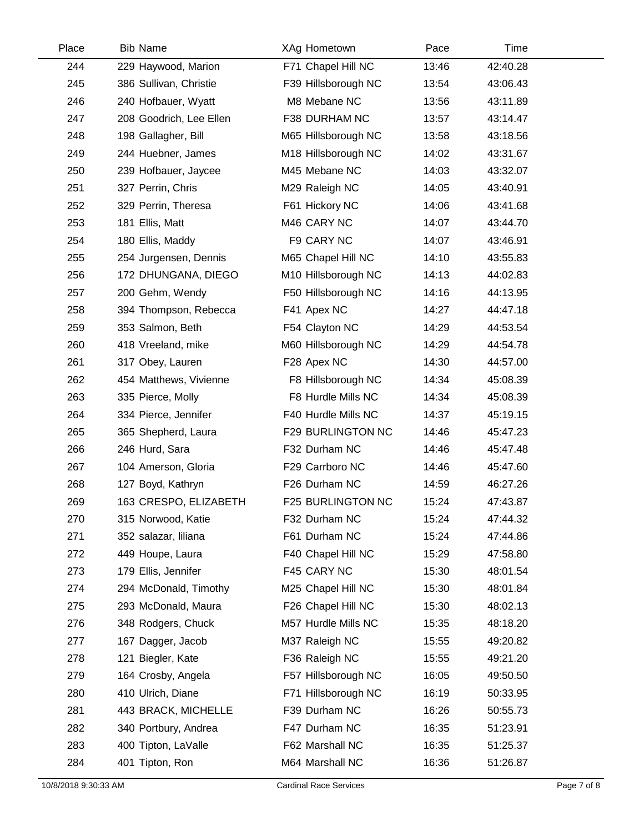| Place | <b>Bib Name</b>         | XAg Hometown        | Pace  | Time     |  |
|-------|-------------------------|---------------------|-------|----------|--|
| 244   | 229 Haywood, Marion     | F71 Chapel Hill NC  | 13:46 | 42:40.28 |  |
| 245   | 386 Sullivan, Christie  | F39 Hillsborough NC | 13:54 | 43:06.43 |  |
| 246   | 240 Hofbauer, Wyatt     | M8 Mebane NC        | 13:56 | 43:11.89 |  |
| 247   | 208 Goodrich, Lee Ellen | F38 DURHAM NC       | 13:57 | 43:14.47 |  |
| 248   | 198 Gallagher, Bill     | M65 Hillsborough NC | 13:58 | 43:18.56 |  |
| 249   | 244 Huebner, James      | M18 Hillsborough NC | 14:02 | 43:31.67 |  |
| 250   | 239 Hofbauer, Jaycee    | M45 Mebane NC       | 14:03 | 43:32.07 |  |
| 251   | 327 Perrin, Chris       | M29 Raleigh NC      | 14:05 | 43:40.91 |  |
| 252   | 329 Perrin, Theresa     | F61 Hickory NC      | 14:06 | 43:41.68 |  |
| 253   | 181 Ellis, Matt         | M46 CARY NC         | 14:07 | 43:44.70 |  |
| 254   | 180 Ellis, Maddy        | F9 CARY NC          | 14:07 | 43:46.91 |  |
| 255   | 254 Jurgensen, Dennis   | M65 Chapel Hill NC  | 14:10 | 43:55.83 |  |
| 256   | 172 DHUNGANA, DIEGO     | M10 Hillsborough NC | 14:13 | 44:02.83 |  |
| 257   | 200 Gehm, Wendy         | F50 Hillsborough NC | 14:16 | 44:13.95 |  |
| 258   | 394 Thompson, Rebecca   | F41 Apex NC         | 14:27 | 44:47.18 |  |
| 259   | 353 Salmon, Beth        | F54 Clayton NC      | 14:29 | 44:53.54 |  |
| 260   | 418 Vreeland, mike      | M60 Hillsborough NC | 14:29 | 44:54.78 |  |
| 261   | 317 Obey, Lauren        | F28 Apex NC         | 14:30 | 44:57.00 |  |
| 262   | 454 Matthews, Vivienne  | F8 Hillsborough NC  | 14:34 | 45:08.39 |  |
| 263   | 335 Pierce, Molly       | F8 Hurdle Mills NC  | 14:34 | 45:08.39 |  |
| 264   | 334 Pierce, Jennifer    | F40 Hurdle Mills NC | 14:37 | 45:19.15 |  |
| 265   | 365 Shepherd, Laura     | F29 BURLINGTON NC   | 14:46 | 45:47.23 |  |
| 266   | 246 Hurd, Sara          | F32 Durham NC       | 14:46 | 45:47.48 |  |
| 267   | 104 Amerson, Gloria     | F29 Carrboro NC     | 14:46 | 45:47.60 |  |
| 268   | 127 Boyd, Kathryn       | F26 Durham NC       | 14:59 | 46:27.26 |  |
| 269   | 163 CRESPO, ELIZABETH   | F25 BURLINGTON NC   | 15:24 | 47:43.87 |  |
| 270   | 315 Norwood, Katie      | F32 Durham NC       | 15:24 | 47:44.32 |  |
| 271   | 352 salazar, liliana    | F61 Durham NC       | 15:24 | 47:44.86 |  |
| 272   | 449 Houpe, Laura        | F40 Chapel Hill NC  | 15:29 | 47:58.80 |  |
| 273   | 179 Ellis, Jennifer     | F45 CARY NC         | 15:30 | 48:01.54 |  |
| 274   | 294 McDonald, Timothy   | M25 Chapel Hill NC  | 15:30 | 48:01.84 |  |
| 275   | 293 McDonald, Maura     | F26 Chapel Hill NC  | 15:30 | 48:02.13 |  |
| 276   | 348 Rodgers, Chuck      | M57 Hurdle Mills NC | 15:35 | 48:18.20 |  |
| 277   | 167 Dagger, Jacob       | M37 Raleigh NC      | 15:55 | 49:20.82 |  |
| 278   | 121 Biegler, Kate       | F36 Raleigh NC      | 15:55 | 49:21.20 |  |
| 279   | 164 Crosby, Angela      | F57 Hillsborough NC | 16:05 | 49:50.50 |  |
| 280   | 410 Ulrich, Diane       | F71 Hillsborough NC | 16:19 | 50:33.95 |  |
| 281   | 443 BRACK, MICHELLE     | F39 Durham NC       | 16:26 | 50:55.73 |  |
| 282   | 340 Portbury, Andrea    | F47 Durham NC       | 16:35 | 51:23.91 |  |
| 283   | 400 Tipton, LaValle     | F62 Marshall NC     | 16:35 | 51:25.37 |  |
| 284   | 401 Tipton, Ron         | M64 Marshall NC     | 16:36 | 51:26.87 |  |